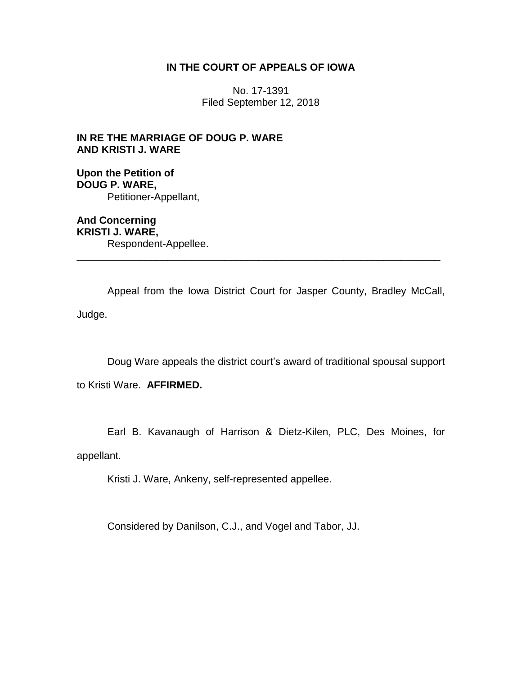# **IN THE COURT OF APPEALS OF IOWA**

No. 17-1391 Filed September 12, 2018

**IN RE THE MARRIAGE OF DOUG P. WARE AND KRISTI J. WARE**

**Upon the Petition of DOUG P. WARE,** Petitioner-Appellant,

**And Concerning KRISTI J. WARE,** Respondent-Appellee. \_\_\_\_\_\_\_\_\_\_\_\_\_\_\_\_\_\_\_\_\_\_\_\_\_\_\_\_\_\_\_\_\_\_\_\_\_\_\_\_\_\_\_\_\_\_\_\_\_\_\_\_\_\_\_\_\_\_\_\_\_\_\_\_

Appeal from the Iowa District Court for Jasper County, Bradley McCall, Judge.

Doug Ware appeals the district court's award of traditional spousal support

to Kristi Ware. **AFFIRMED.**

Earl B. Kavanaugh of Harrison & Dietz-Kilen, PLC, Des Moines, for appellant.

Kristi J. Ware, Ankeny, self-represented appellee.

Considered by Danilson, C.J., and Vogel and Tabor, JJ.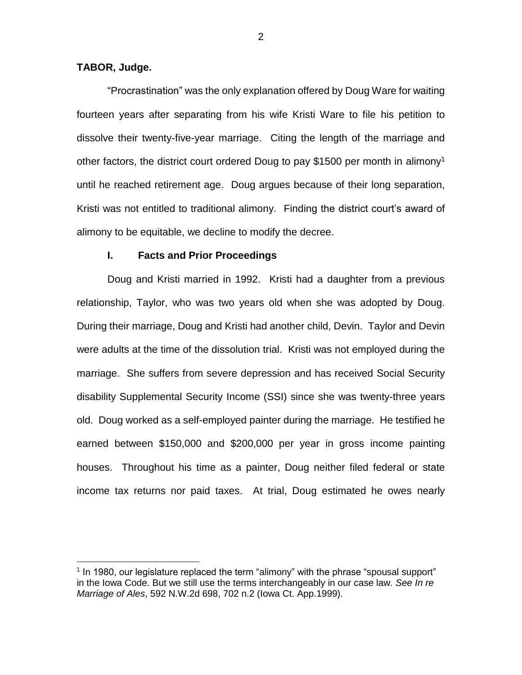# **TABOR, Judge.**

 $\overline{a}$ 

"Procrastination" was the only explanation offered by Doug Ware for waiting fourteen years after separating from his wife Kristi Ware to file his petition to dissolve their twenty-five-year marriage. Citing the length of the marriage and other factors, the district court ordered Doug to pay \$1500 per month in alimony<sup>1</sup> until he reached retirement age. Doug argues because of their long separation, Kristi was not entitled to traditional alimony. Finding the district court's award of alimony to be equitable, we decline to modify the decree.

#### **I. Facts and Prior Proceedings**

Doug and Kristi married in 1992. Kristi had a daughter from a previous relationship, Taylor, who was two years old when she was adopted by Doug. During their marriage, Doug and Kristi had another child, Devin. Taylor and Devin were adults at the time of the dissolution trial. Kristi was not employed during the marriage. She suffers from severe depression and has received Social Security disability Supplemental Security Income (SSI) since she was twenty-three years old. Doug worked as a self-employed painter during the marriage. He testified he earned between \$150,000 and \$200,000 per year in gross income painting houses. Throughout his time as a painter, Doug neither filed federal or state income tax returns nor paid taxes. At trial, Doug estimated he owes nearly

<sup>&</sup>lt;sup>1</sup> In 1980, our legislature replaced the term "alimony" with the phrase "spousal support" in the Iowa Code. But we still use the terms interchangeably in our case law. *See In re Marriage of Ales*, 592 N.W.2d 698, 702 n.2 (Iowa Ct. App.1999).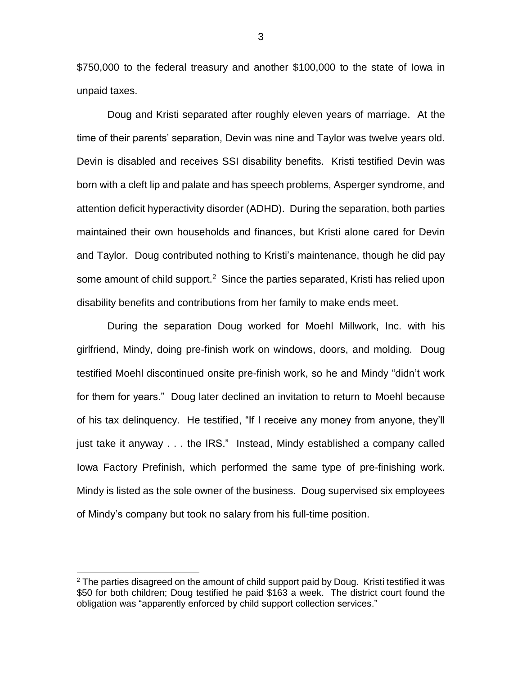\$750,000 to the federal treasury and another \$100,000 to the state of Iowa in unpaid taxes.

Doug and Kristi separated after roughly eleven years of marriage. At the time of their parents' separation, Devin was nine and Taylor was twelve years old. Devin is disabled and receives SSI disability benefits. Kristi testified Devin was born with a cleft lip and palate and has speech problems, Asperger syndrome, and attention deficit hyperactivity disorder (ADHD). During the separation, both parties maintained their own households and finances, but Kristi alone cared for Devin and Taylor. Doug contributed nothing to Kristi's maintenance, though he did pay some amount of child support.<sup>2</sup> Since the parties separated, Kristi has relied upon disability benefits and contributions from her family to make ends meet.

During the separation Doug worked for Moehl Millwork, Inc. with his girlfriend, Mindy, doing pre-finish work on windows, doors, and molding. Doug testified Moehl discontinued onsite pre-finish work, so he and Mindy "didn't work for them for years." Doug later declined an invitation to return to Moehl because of his tax delinquency. He testified, "If I receive any money from anyone, they'll just take it anyway . . . the IRS." Instead, Mindy established a company called Iowa Factory Prefinish, which performed the same type of pre-finishing work. Mindy is listed as the sole owner of the business. Doug supervised six employees of Mindy's company but took no salary from his full-time position.

 $\overline{a}$ 

 $2$  The parties disagreed on the amount of child support paid by Doug. Kristi testified it was \$50 for both children; Doug testified he paid \$163 a week. The district court found the obligation was "apparently enforced by child support collection services."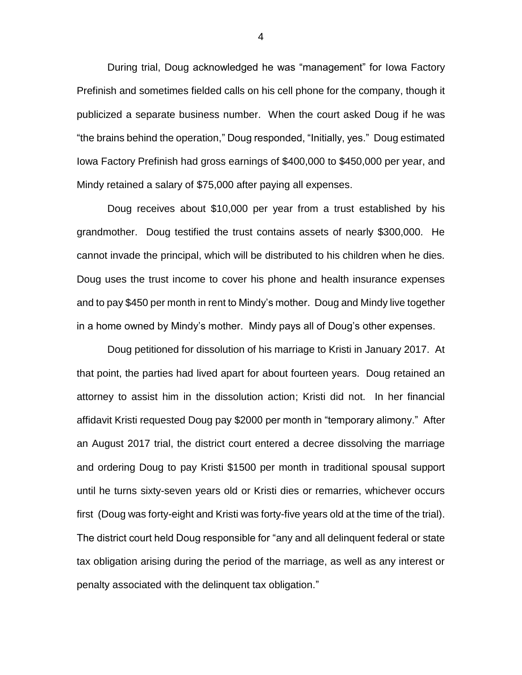During trial, Doug acknowledged he was "management" for Iowa Factory Prefinish and sometimes fielded calls on his cell phone for the company, though it publicized a separate business number. When the court asked Doug if he was "the brains behind the operation," Doug responded, "Initially, yes." Doug estimated Iowa Factory Prefinish had gross earnings of \$400,000 to \$450,000 per year, and Mindy retained a salary of \$75,000 after paying all expenses.

Doug receives about \$10,000 per year from a trust established by his grandmother. Doug testified the trust contains assets of nearly \$300,000. He cannot invade the principal, which will be distributed to his children when he dies. Doug uses the trust income to cover his phone and health insurance expenses and to pay \$450 per month in rent to Mindy's mother. Doug and Mindy live together in a home owned by Mindy's mother. Mindy pays all of Doug's other expenses.

Doug petitioned for dissolution of his marriage to Kristi in January 2017. At that point, the parties had lived apart for about fourteen years. Doug retained an attorney to assist him in the dissolution action; Kristi did not. In her financial affidavit Kristi requested Doug pay \$2000 per month in "temporary alimony." After an August 2017 trial, the district court entered a decree dissolving the marriage and ordering Doug to pay Kristi \$1500 per month in traditional spousal support until he turns sixty-seven years old or Kristi dies or remarries, whichever occurs first (Doug was forty-eight and Kristi was forty-five years old at the time of the trial). The district court held Doug responsible for "any and all delinquent federal or state tax obligation arising during the period of the marriage, as well as any interest or penalty associated with the delinquent tax obligation."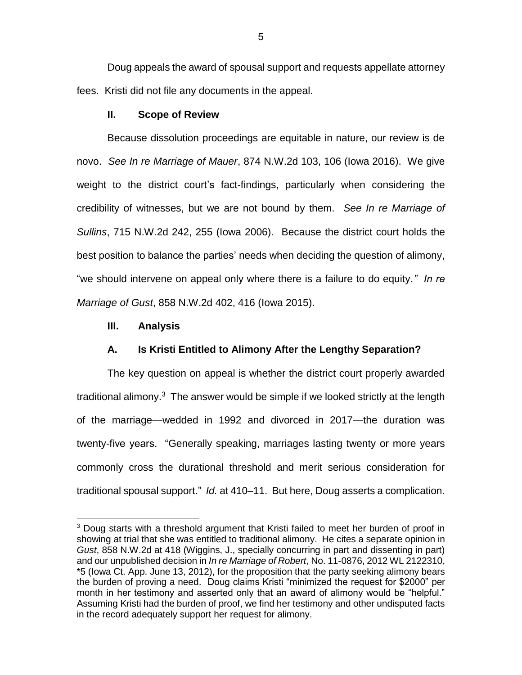Doug appeals the award of spousal support and requests appellate attorney fees. Kristi did not file any documents in the appeal.

## **II. Scope of Review**

Because dissolution proceedings are equitable in nature, our review is de novo. *See In re Marriage of Mauer*, 874 N.W.2d 103, 106 (Iowa 2016). We give weight to the district court's fact-findings, particularly when considering the credibility of witnesses, but we are not bound by them. *See In re Marriage of Sullins*, 715 N.W.2d 242, 255 (Iowa 2006). Because the district court holds the best position to balance the parties' needs when deciding the question of alimony, "we should intervene on appeal only where there is a failure to do equity*." In re Marriage of Gust*, 858 N.W.2d 402, 416 (Iowa 2015).

#### **III. Analysis**

 $\overline{a}$ 

## **A. Is Kristi Entitled to Alimony After the Lengthy Separation?**

The key question on appeal is whether the district court properly awarded traditional alimony.<sup>3</sup> The answer would be simple if we looked strictly at the length of the marriage—wedded in 1992 and divorced in 2017—the duration was twenty-five years. "Generally speaking, marriages lasting twenty or more years commonly cross the durational threshold and merit serious consideration for traditional spousal support." *Id.* at 410–11. But here, Doug asserts a complication.

<sup>&</sup>lt;sup>3</sup> Doug starts with a threshold argument that Kristi failed to meet her burden of proof in showing at trial that she was entitled to traditional alimony. He cites a separate opinion in *Gust*, 858 N.W.2d at 418 (Wiggins, J., specially concurring in part and dissenting in part) and our unpublished decision in *In re Marriage of Robert*, No. 11-0876, 2012 WL 2122310, \*5 (Iowa Ct. App. June 13, 2012), for the proposition that the party seeking alimony bears the burden of proving a need. Doug claims Kristi "minimized the request for \$2000" per month in her testimony and asserted only that an award of alimony would be "helpful." Assuming Kristi had the burden of proof, we find her testimony and other undisputed facts in the record adequately support her request for alimony.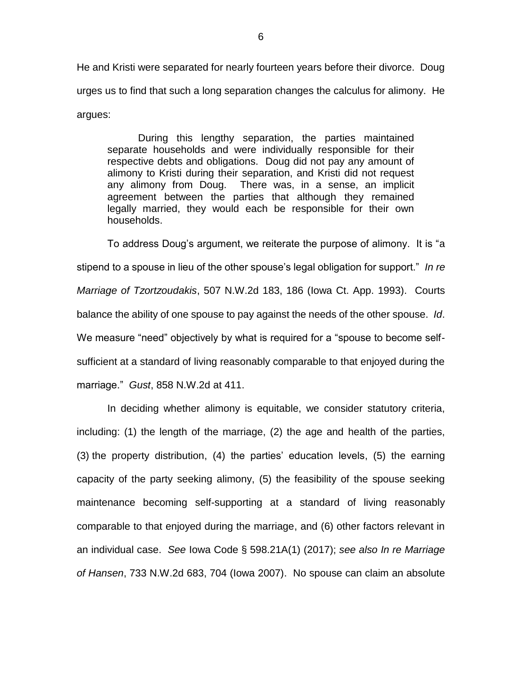He and Kristi were separated for nearly fourteen years before their divorce. Doug urges us to find that such a long separation changes the calculus for alimony. He argues:

During this lengthy separation, the parties maintained separate households and were individually responsible for their respective debts and obligations. Doug did not pay any amount of alimony to Kristi during their separation, and Kristi did not request any alimony from Doug. There was, in a sense, an implicit agreement between the parties that although they remained legally married, they would each be responsible for their own households.

To address Doug's argument, we reiterate the purpose of alimony. It is "a stipend to a spouse in lieu of the other spouse's legal obligation for support." *In re Marriage of Tzortzoudakis*, 507 N.W.2d 183, 186 (Iowa Ct. App. 1993). Courts balance the ability of one spouse to pay against the needs of the other spouse. *Id*. We measure "need" objectively by what is required for a "spouse to become selfsufficient at a standard of living reasonably comparable to that enjoyed during the marriage." *Gust*, 858 N.W.2d at 411.

In deciding whether alimony is equitable, we consider statutory criteria, including: (1) the length of the marriage, (2) the age and health of the parties, (3) the property distribution, (4) the parties' education levels, (5) the earning capacity of the party seeking alimony, (5) the feasibility of the spouse seeking maintenance becoming self-supporting at a standard of living reasonably comparable to that enjoyed during the marriage, and (6) other factors relevant in an individual case. *See* Iowa Code § 598.21A(1) (2017); *see also In re Marriage of Hansen*, 733 N.W.2d 683, 704 (Iowa 2007). No spouse can claim an absolute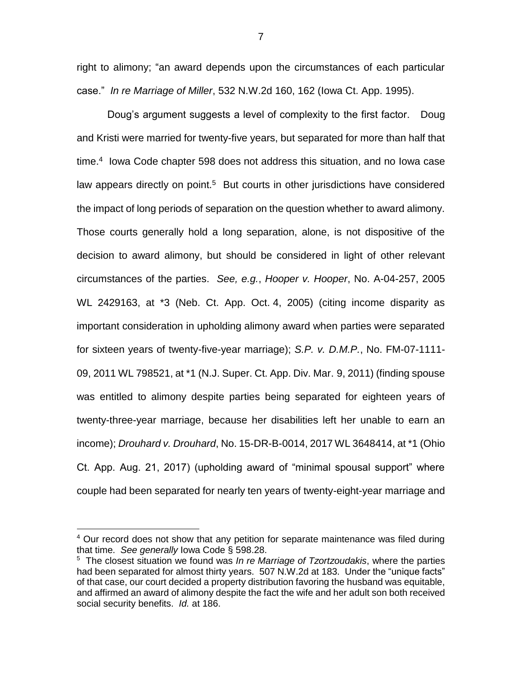right to alimony; "an award depends upon the circumstances of each particular case." *In re Marriage of Miller*, 532 N.W.2d 160, 162 (Iowa Ct. App. 1995).

Doug's argument suggests a level of complexity to the first factor. Doug and Kristi were married for twenty-five years, but separated for more than half that time.<sup>4</sup> Iowa Code chapter 598 does not address this situation, and no Iowa case law appears directly on point.<sup>5</sup> But courts in other jurisdictions have considered the impact of long periods of separation on the question whether to award alimony. Those courts generally hold a long separation, alone, is not dispositive of the decision to award alimony, but should be considered in light of other relevant circumstances of the parties. *See, e.g.*, *Hooper v. Hooper*, No. A-04-257, 2005 WL 2429163, at \*3 (Neb. Ct. App. Oct. 4, 2005) (citing income disparity as important consideration in upholding alimony award when parties were separated for sixteen years of twenty-five-year marriage); *S.P. v. D.M.P.*, No. FM-07-1111- 09, 2011 WL 798521, at \*1 (N.J. Super. Ct. App. Div. Mar. 9, 2011) (finding spouse was entitled to alimony despite parties being separated for eighteen years of twenty-three-year marriage, because her disabilities left her unable to earn an income); *Drouhard v. Drouhard*, No. 15-DR-B-0014, 2017 WL 3648414, at \*1 (Ohio Ct. App. Aug. 21, 2017) (upholding award of "minimal spousal support" where couple had been separated for nearly ten years of twenty-eight-year marriage and

 $\overline{a}$ 

<sup>&</sup>lt;sup>4</sup> Our record does not show that any petition for separate maintenance was filed during that time. *See generally* Iowa Code § 598.28.

<sup>5</sup> The closest situation we found was *In re Marriage of Tzortzoudakis*, where the parties had been separated for almost thirty years. 507 N.W.2d at 183. Under the "unique facts" of that case, our court decided a property distribution favoring the husband was equitable, and affirmed an award of alimony despite the fact the wife and her adult son both received social security benefits. *Id.* at 186.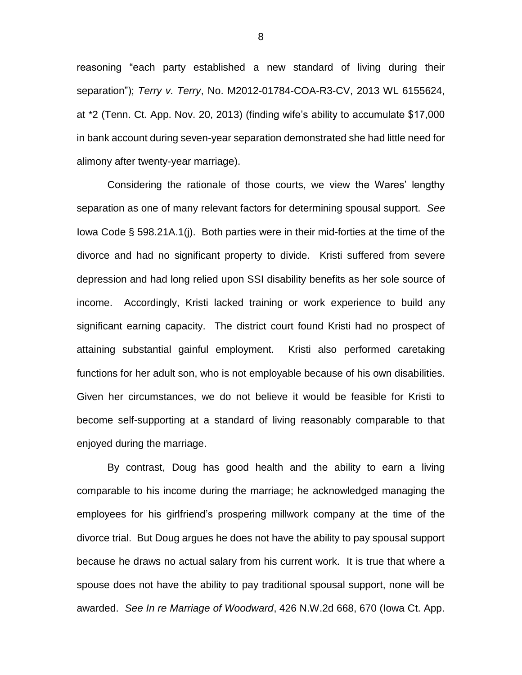reasoning "each party established a new standard of living during their separation"); *Terry v. Terry*, No. M2012-01784-COA-R3-CV, 2013 WL 6155624, at \*2 (Tenn. Ct. App. Nov. 20, 2013) (finding wife's ability to accumulate \$17,000 in bank account during seven-year separation demonstrated she had little need for alimony after twenty-year marriage).

Considering the rationale of those courts, we view the Wares' lengthy separation as one of many relevant factors for determining spousal support. *See* Iowa Code § 598.21A.1(j). Both parties were in their mid-forties at the time of the divorce and had no significant property to divide. Kristi suffered from severe depression and had long relied upon SSI disability benefits as her sole source of income. Accordingly, Kristi lacked training or work experience to build any significant earning capacity. The district court found Kristi had no prospect of attaining substantial gainful employment. Kristi also performed caretaking functions for her adult son, who is not employable because of his own disabilities. Given her circumstances, we do not believe it would be feasible for Kristi to become self-supporting at a standard of living reasonably comparable to that enjoyed during the marriage.

By contrast, Doug has good health and the ability to earn a living comparable to his income during the marriage; he acknowledged managing the employees for his girlfriend's prospering millwork company at the time of the divorce trial. But Doug argues he does not have the ability to pay spousal support because he draws no actual salary from his current work. It is true that where a spouse does not have the ability to pay traditional spousal support, none will be awarded. *See In re Marriage of Woodward*, 426 N.W.2d 668, 670 (Iowa Ct. App.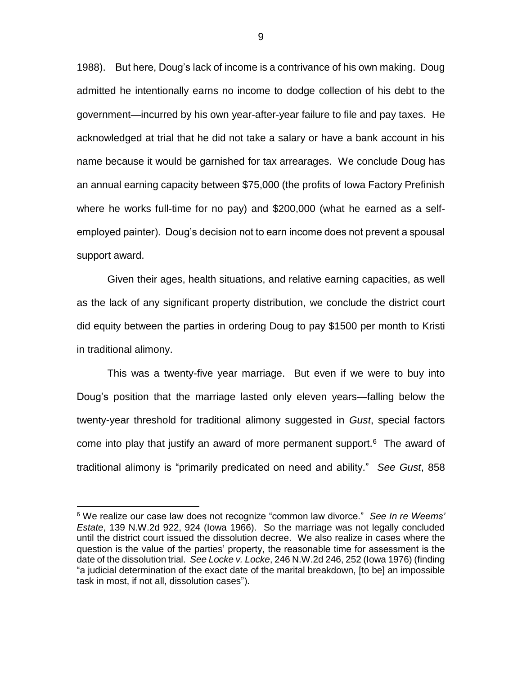1988).But here, Doug's lack of income is a contrivance of his own making. Doug admitted he intentionally earns no income to dodge collection of his debt to the government—incurred by his own year-after-year failure to file and pay taxes. He acknowledged at trial that he did not take a salary or have a bank account in his name because it would be garnished for tax arrearages. We conclude Doug has an annual earning capacity between \$75,000 (the profits of Iowa Factory Prefinish where he works full-time for no pay) and \$200,000 (what he earned as a selfemployed painter). Doug's decision not to earn income does not prevent a spousal support award.

Given their ages, health situations, and relative earning capacities, as well as the lack of any significant property distribution, we conclude the district court did equity between the parties in ordering Doug to pay \$1500 per month to Kristi in traditional alimony.

This was a twenty-five year marriage. But even if we were to buy into Doug's position that the marriage lasted only eleven years—falling below the twenty-year threshold for traditional alimony suggested in *Gust*, special factors come into play that justify an award of more permanent support. $6$  The award of traditional alimony is "primarily predicated on need and ability." *See Gust*, 858

 $\overline{a}$ 

<sup>6</sup> We realize our case law does not recognize "common law divorce." *See In re Weems' Estate*, 139 N.W.2d 922, 924 (Iowa 1966). So the marriage was not legally concluded until the district court issued the dissolution decree. We also realize in cases where the question is the value of the parties' property, the reasonable time for assessment is the date of the dissolution trial. *See Locke v. Locke*, 246 N.W.2d 246, 252 (Iowa 1976) (finding "a judicial determination of the exact date of the marital breakdown, [to be] an impossible task in most, if not all, dissolution cases").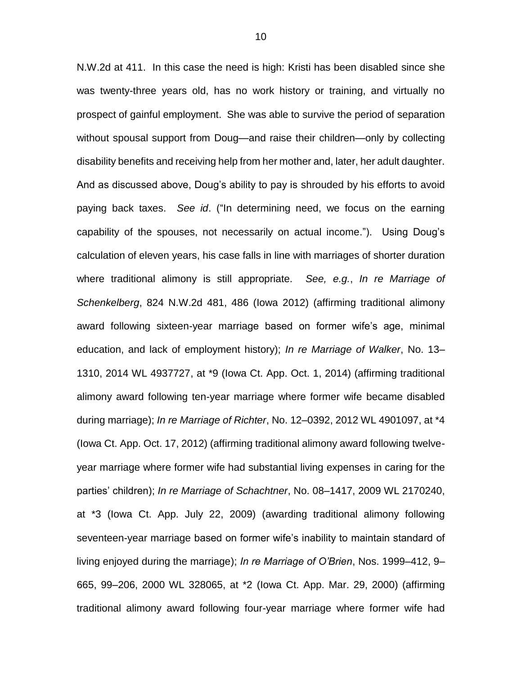N.W.2d at 411. In this case the need is high: Kristi has been disabled since she was twenty-three years old, has no work history or training, and virtually no prospect of gainful employment. She was able to survive the period of separation without spousal support from Doug—and raise their children—only by collecting disability benefits and receiving help from her mother and, later, her adult daughter. And as discussed above, Doug's ability to pay is shrouded by his efforts to avoid paying back taxes. *See id*. ("In determining need, we focus on the earning capability of the spouses, not necessarily on actual income."). Using Doug's calculation of eleven years, his case falls in line with marriages of shorter duration where traditional alimony is still appropriate. *See, e.g.*, *In re Marriage of Schenkelberg*, 824 N.W.2d 481, 486 (Iowa 2012) (affirming traditional alimony award following sixteen-year marriage based on former wife's age, minimal education, and lack of employment history); *In re Marriage of Walker*, No. 13– 1310, 2014 WL 4937727, at \*9 (Iowa Ct. App. Oct. 1, 2014) (affirming traditional alimony award following ten-year marriage where former wife became disabled during marriage); *In re Marriage of Richter*, No. 12–0392, 2012 WL 4901097, at \*4 (Iowa Ct. App. Oct. 17, 2012) (affirming traditional alimony award following twelveyear marriage where former wife had substantial living expenses in caring for the parties' children); *In re Marriage of Schachtner*, No. 08–1417, 2009 WL 2170240, at \*3 (Iowa Ct. App. July 22, 2009) (awarding traditional alimony following seventeen-year marriage based on former wife's inability to maintain standard of living enjoyed during the marriage); *In re Marriage of O'Brien*, Nos. 1999–412, 9– 665, 99–206, 2000 WL 328065, at \*2 (Iowa Ct. App. Mar. 29, 2000) (affirming traditional alimony award following four-year marriage where former wife had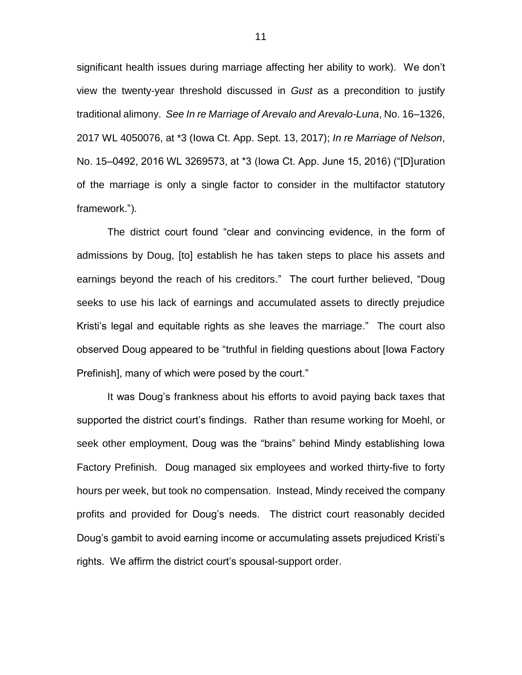significant health issues during marriage affecting her ability to work). We don't view the twenty-year threshold discussed in *Gust* as a precondition to justify traditional alimony. *See In re Marriage of Arevalo and Arevalo-Luna*, No. 16–1326, 2017 WL 4050076, at \*3 (Iowa Ct. App. Sept. 13, 2017); *In re Marriage of Nelson*, No. 15–0492, 2016 WL 3269573, at \*3 (Iowa Ct. App. June 15, 2016) ("[D]uration of the marriage is only a single factor to consider in the multifactor statutory framework.").

The district court found "clear and convincing evidence, in the form of admissions by Doug, [to] establish he has taken steps to place his assets and earnings beyond the reach of his creditors." The court further believed, "Doug seeks to use his lack of earnings and accumulated assets to directly prejudice Kristi's legal and equitable rights as she leaves the marriage." The court also observed Doug appeared to be "truthful in fielding questions about [Iowa Factory Prefinish], many of which were posed by the court."

It was Doug's frankness about his efforts to avoid paying back taxes that supported the district court's findings. Rather than resume working for Moehl, or seek other employment, Doug was the "brains" behind Mindy establishing Iowa Factory Prefinish. Doug managed six employees and worked thirty-five to forty hours per week, but took no compensation. Instead, Mindy received the company profits and provided for Doug's needs. The district court reasonably decided Doug's gambit to avoid earning income or accumulating assets prejudiced Kristi's rights. We affirm the district court's spousal-support order.